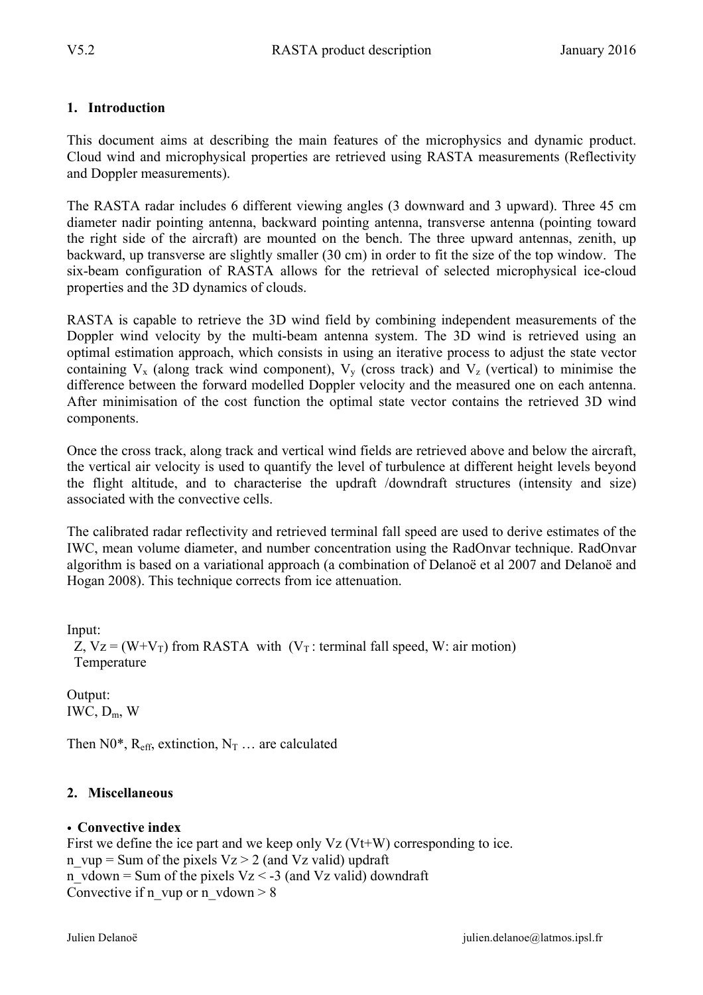#### **1. Introduction**

This document aims at describing the main features of the microphysics and dynamic product. Cloud wind and microphysical properties are retrieved using RASTA measurements (Reflectivity and Doppler measurements).

The RASTA radar includes 6 different viewing angles (3 downward and 3 upward). Three 45 cm diameter nadir pointing antenna, backward pointing antenna, transverse antenna (pointing toward the right side of the aircraft) are mounted on the bench. The three upward antennas, zenith, up backward, up transverse are slightly smaller (30 cm) in order to fit the size of the top window. The six-beam configuration of RASTA allows for the retrieval of selected microphysical ice-cloud properties and the 3D dynamics of clouds.

RASTA is capable to retrieve the 3D wind field by combining independent measurements of the Doppler wind velocity by the multi-beam antenna system. The 3D wind is retrieved using an optimal estimation approach, which consists in using an iterative process to adjust the state vector containing  $V_x$  (along track wind component),  $V_y$  (cross track) and  $V_z$  (vertical) to minimise the difference between the forward modelled Doppler velocity and the measured one on each antenna. After minimisation of the cost function the optimal state vector contains the retrieved 3D wind components.

Once the cross track, along track and vertical wind fields are retrieved above and below the aircraft, the vertical air velocity is used to quantify the level of turbulence at different height levels beyond the flight altitude, and to characterise the updraft /downdraft structures (intensity and size) associated with the convective cells.

The calibrated radar reflectivity and retrieved terminal fall speed are used to derive estimates of the IWC, mean volume diameter, and number concentration using the RadOnvar technique. RadOnvar algorithm is based on a variational approach (a combination of Delanoë et al 2007 and Delanoë and Hogan 2008). This technique corrects from ice attenuation.

Input: Z,  $Vz = (W+V_T)$  from RASTA with  $(V_T$ : terminal fall speed, W: air motion) Temperature

Output: IWC,  $D_m$ , W

Then  $N0^*$ , R<sub>eff</sub>, extinction, N<sub>T</sub> ... are calculated

## **2. Miscellaneous**

#### • **Convective index**

First we define the ice part and we keep only  $Vz$  (Vt+W) corresponding to ice. n\_vup = Sum of the pixels  $Vz > 2$  (and Vz valid) updraft n vdown = Sum of the pixels Vz < -3 (and Vz valid) downdraft Convective if n\_vup or n\_vdown  $> 8$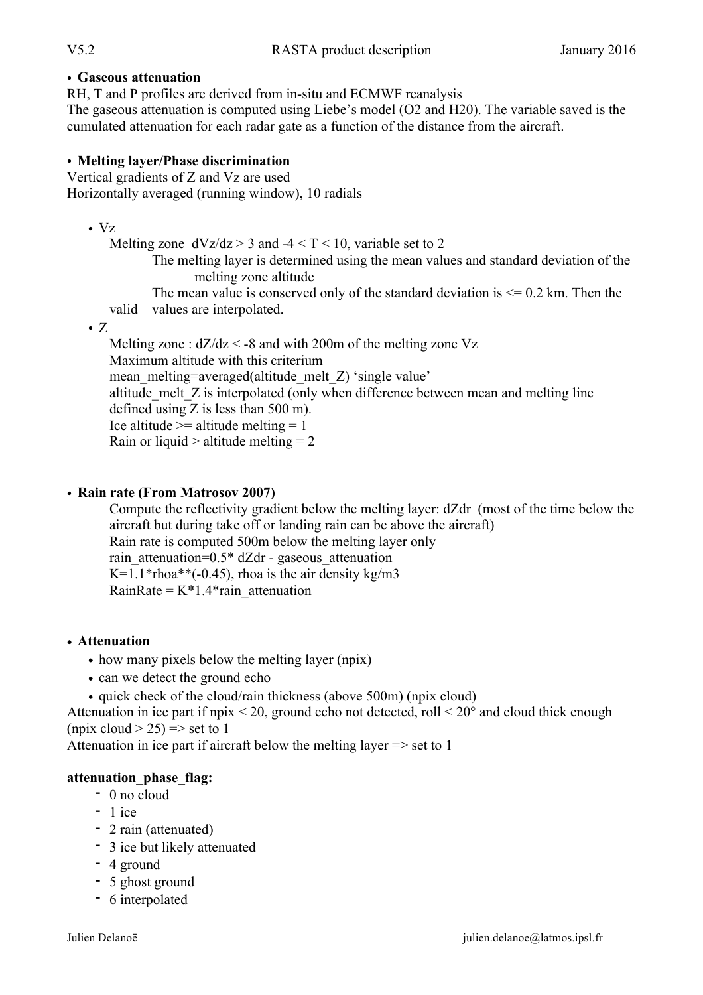#### • **Gaseous attenuation**

RH, T and P profiles are derived from in-situ and ECMWF reanalysis

The gaseous attenuation is computed using Liebe's model (O2 and H20). The variable saved is the cumulated attenuation for each radar gate as a function of the distance from the aircraft.

#### • **Melting layer/Phase discrimination**

Vertical gradients of Z and Vz are used Horizontally averaged (running window), 10 radials

• Vz

Melting zone  $dVz/dz > 3$  and  $-4 < T < 10$ , variable set to 2

The melting layer is determined using the mean values and standard deviation of the melting zone altitude

The mean value is conserved only of the standard deviation is  $\leq 0.2$  km. Then the valid values are interpolated.

 $\bullet$  Z

Melting zone :  $dZ/dz < -8$  and with 200m of the melting zone Vz Maximum altitude with this criterium mean melting=averaged(altitude melt Z) 'single value' altitude melt Z is interpolated (only when difference between mean and melting line defined using  $Z$  is less than 500 m). Ice altitude  $\ge$  altitude melting = 1 Rain or liquid  $>$  altitude melting  $= 2$ 

#### • **Rain rate (From Matrosov 2007)**

Compute the reflectivity gradient below the melting layer: dZdr (most of the time below the aircraft but during take off or landing rain can be above the aircraft) Rain rate is computed 500m below the melting layer only rain attenuation= $0.5* dZdr$  - gaseous attenuation K=1.1\*rhoa\*\*( $-0.45$ ), rhoa is the air density kg/m3 RainRate =  $K*1.4*$ rain attenuation

## • **Attenuation**

- how many pixels below the melting layer (npix)
- can we detect the ground echo
- quick check of the cloud/rain thickness (above 500m) (npix cloud)

Attenuation in ice part if npix  $\leq$  20, ground echo not detected, roll  $\leq$  20 $\degree$  and cloud thick enough (npix cloud  $>$  25) =  $>$  set to 1

Attenuation in ice part if aircraft below the melting layer => set to 1

## **attenuation\_phase\_flag:**

- **-** 0 no cloud
- **-** 1 ice
- **-** 2 rain (attenuated)
- **-** 3 ice but likely attenuated
- **-** 4 ground
- **-** 5 ghost ground
- **-** 6 interpolated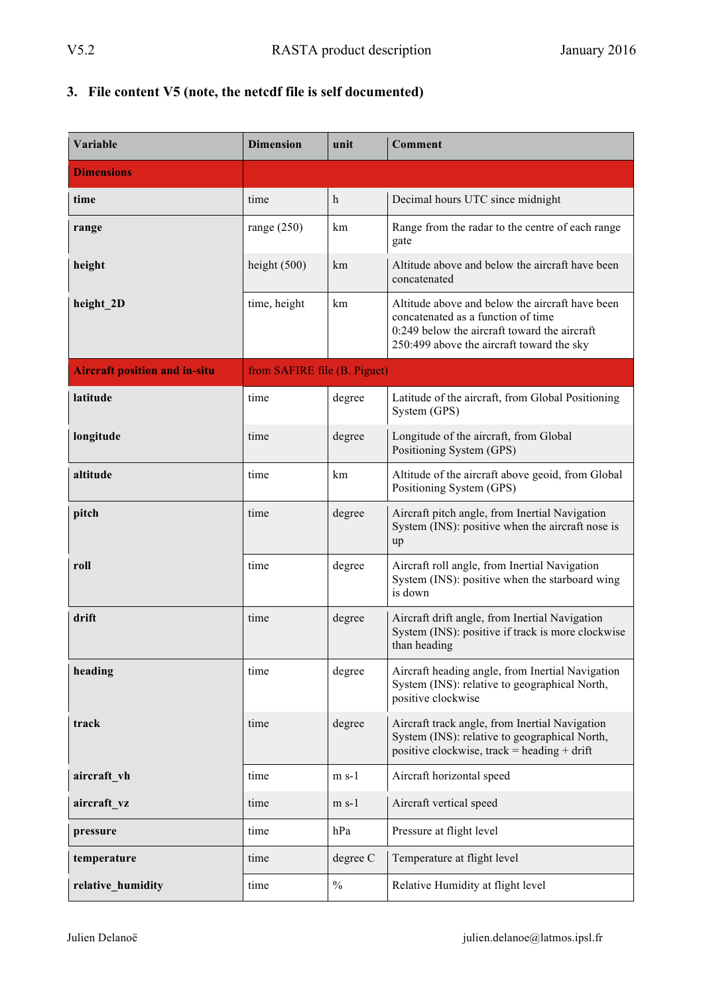# **3. File content V5 (note, the netcdf file is self documented)**

| Variable                             | <b>Dimension</b>             | unit        | <b>Comment</b>                                                                                                                                                                       |
|--------------------------------------|------------------------------|-------------|--------------------------------------------------------------------------------------------------------------------------------------------------------------------------------------|
| <b>Dimensions</b>                    |                              |             |                                                                                                                                                                                      |
| time                                 | time                         | $\mathbf h$ | Decimal hours UTC since midnight                                                                                                                                                     |
| range                                | range $(250)$                | km          | Range from the radar to the centre of each range<br>gate                                                                                                                             |
| height                               | height $(500)$               | km          | Altitude above and below the aircraft have been<br>concatenated                                                                                                                      |
| height_2D                            | time, height                 | km          | Altitude above and below the aircraft have been<br>concatenated as a function of time<br>$0:249$ below the aircraft toward the aircraft<br>250:499 above the aircraft toward the sky |
| <b>Aircraft position and in-situ</b> | from SAFIRE file (B. Piguet) |             |                                                                                                                                                                                      |
| latitude                             | time                         | degree      | Latitude of the aircraft, from Global Positioning<br>System (GPS)                                                                                                                    |
| longitude                            | time                         | degree      | Longitude of the aircraft, from Global<br>Positioning System (GPS)                                                                                                                   |
| altitude                             | time                         | km          | Altitude of the aircraft above geoid, from Global<br>Positioning System (GPS)                                                                                                        |
| pitch                                | time                         | degree      | Aircraft pitch angle, from Inertial Navigation<br>System (INS): positive when the aircraft nose is<br>up                                                                             |
| roll                                 | time                         | degree      | Aircraft roll angle, from Inertial Navigation<br>System (INS): positive when the starboard wing<br>is down                                                                           |
| drift                                | time                         | degree      | Aircraft drift angle, from Inertial Navigation<br>System (INS): positive if track is more clockwise<br>than heading                                                                  |
| heading                              | time                         | degree      | Aircraft heading angle, from Inertial Navigation<br>System (INS): relative to geographical North,<br>positive clockwise                                                              |
| track                                | time                         | degree      | Aircraft track angle, from Inertial Navigation<br>System (INS): relative to geographical North,<br>positive clockwise, track = heading + drift                                       |
| aircraft vh                          | time                         | $m s-1$     | Aircraft horizontal speed                                                                                                                                                            |
| aircraft vz                          | time                         | $m s-1$     | Aircraft vertical speed                                                                                                                                                              |
| pressure                             | time                         | hPa         | Pressure at flight level                                                                                                                                                             |
| temperature                          | time                         | degree C    | Temperature at flight level                                                                                                                                                          |
| relative_humidity                    | time                         | $\%$        | Relative Humidity at flight level                                                                                                                                                    |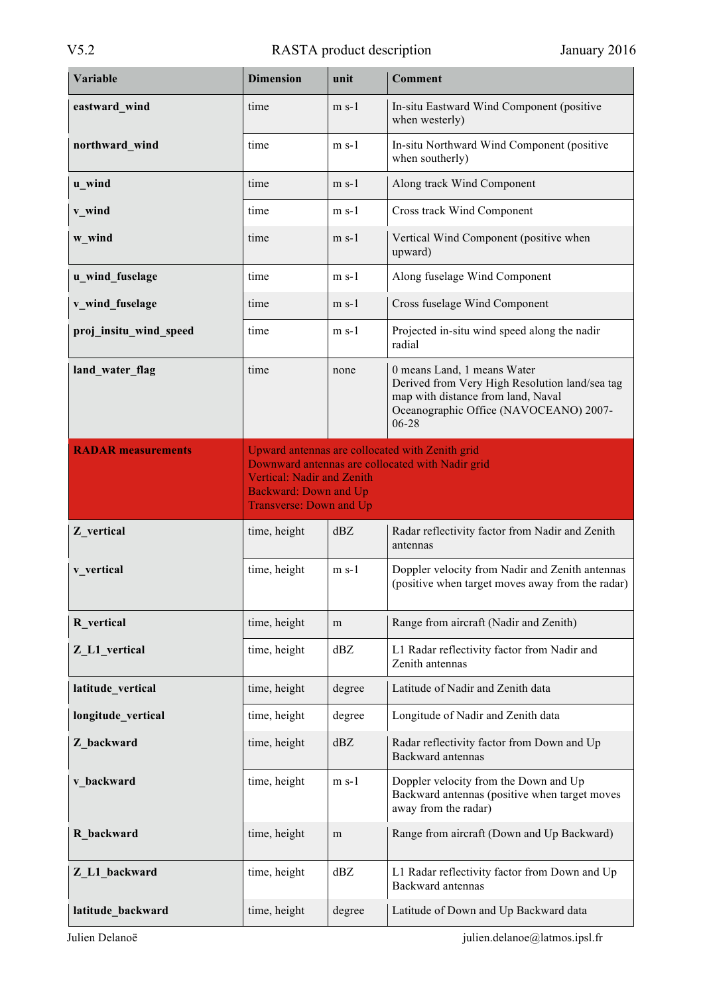| Variable                  | <b>Dimension</b>                                                  | unit    | <b>Comment</b>                                                                                                                                                         |
|---------------------------|-------------------------------------------------------------------|---------|------------------------------------------------------------------------------------------------------------------------------------------------------------------------|
| eastward wind             | time                                                              | $m$ s-1 | In-situ Eastward Wind Component (positive<br>when westerly)                                                                                                            |
| northward_wind            | time                                                              | $m s-1$ | In-situ Northward Wind Component (positive<br>when southerly)                                                                                                          |
| u wind                    | time                                                              | $m$ s-1 | Along track Wind Component                                                                                                                                             |
| v_wind                    | time                                                              | $m s-1$ | Cross track Wind Component                                                                                                                                             |
| w_wind                    | time                                                              | $m$ s-1 | Vertical Wind Component (positive when<br>upward)                                                                                                                      |
| u_wind_fuselage           | time                                                              | $m s-1$ | Along fuselage Wind Component                                                                                                                                          |
| v_wind_fuselage           | time                                                              | $m$ s-1 | Cross fuselage Wind Component                                                                                                                                          |
| proj insitu wind speed    | time                                                              | $m s-1$ | Projected in-situ wind speed along the nadir<br>radial                                                                                                                 |
| land_water_flag           | time                                                              | none    | 0 means Land, 1 means Water<br>Derived from Very High Resolution land/sea tag<br>map with distance from land, Naval<br>Oceanographic Office (NAVOCEANO) 2007-<br>06-28 |
| <b>RADAR</b> measurements |                                                                   |         | Upward antennas are collocated with Zenith grid<br>Downward antennas are collocated with Nadir grid                                                                    |
|                           | <b>Vertical: Nadir and Zenith</b><br><b>Backward: Down and Up</b> |         |                                                                                                                                                                        |
|                           |                                                                   |         |                                                                                                                                                                        |
|                           | <b>Transverse: Down and Up</b>                                    |         |                                                                                                                                                                        |
| Z_vertical                | time, height                                                      | dBZ     | Radar reflectivity factor from Nadir and Zenith<br>antennas                                                                                                            |
| v_vertical                | time, height                                                      | $m$ s-1 | Doppler velocity from Nadir and Zenith antennas<br>(positive when target moves away from the radar)                                                                    |
| R vertical                | time, height                                                      | m       | Range from aircraft (Nadir and Zenith)                                                                                                                                 |
| Z_L1_vertical             | time, height                                                      | dBZ     | L1 Radar reflectivity factor from Nadir and<br>Zenith antennas                                                                                                         |
| latitude vertical         | time, height                                                      | degree  | Latitude of Nadir and Zenith data                                                                                                                                      |
| longitude vertical        | time, height                                                      | degree  | Longitude of Nadir and Zenith data                                                                                                                                     |
| Z backward                | time, height                                                      | dBZ     | Radar reflectivity factor from Down and Up<br>Backward antennas                                                                                                        |
| v backward                | time, height                                                      | $m s-1$ | Doppler velocity from the Down and Up<br>Backward antennas (positive when target moves<br>away from the radar)                                                         |
| R backward                | time, height                                                      | m       | Range from aircraft (Down and Up Backward)                                                                                                                             |
| Z_L1_backward             | time, height                                                      | dBZ     | L1 Radar reflectivity factor from Down and Up<br>Backward antennas                                                                                                     |

Julien Delanoë julien.delanoe@latmos.ipsl.fr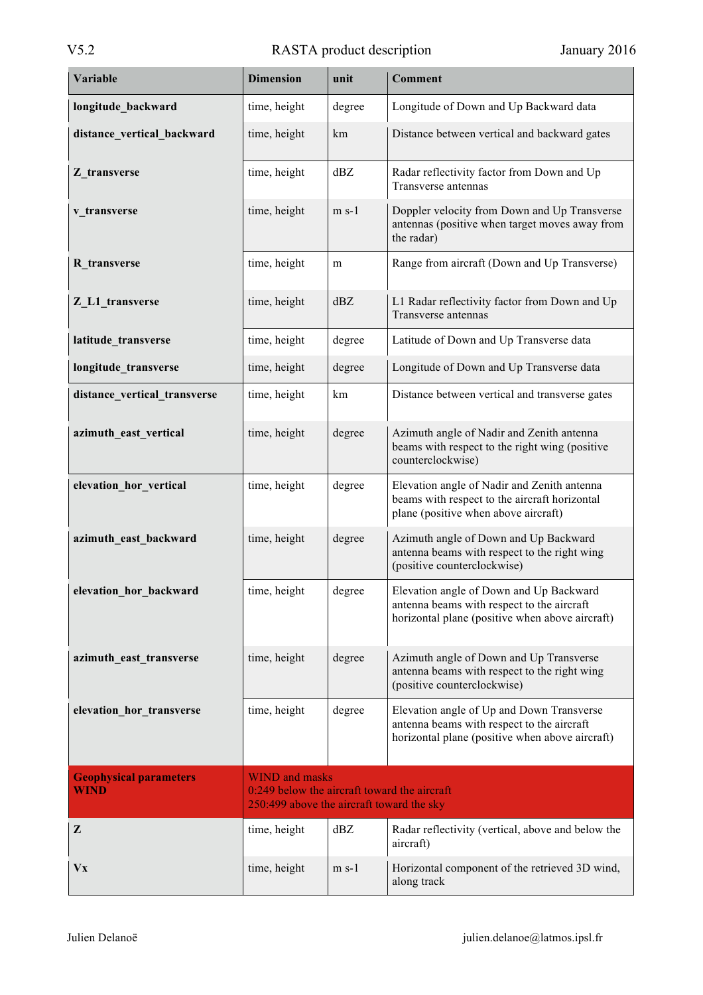| Variable                                     | <b>Dimension</b>                                                                                                   | unit    | <b>Comment</b>                                                                                                                             |
|----------------------------------------------|--------------------------------------------------------------------------------------------------------------------|---------|--------------------------------------------------------------------------------------------------------------------------------------------|
| longitude_backward                           | time, height                                                                                                       | degree  | Longitude of Down and Up Backward data                                                                                                     |
| distance_vertical_backward                   | time, height                                                                                                       | km      | Distance between vertical and backward gates                                                                                               |
| Z_transverse                                 | time, height                                                                                                       | dBZ     | Radar reflectivity factor from Down and Up<br>Transverse antennas                                                                          |
| v transverse                                 | time, height                                                                                                       | $m s-1$ | Doppler velocity from Down and Up Transverse<br>antennas (positive when target moves away from<br>the radar)                               |
| R transverse                                 | time, height                                                                                                       | m       | Range from aircraft (Down and Up Transverse)                                                                                               |
| Z L1 transverse                              | time, height                                                                                                       | dBZ     | L1 Radar reflectivity factor from Down and Up<br>Transverse antennas                                                                       |
| latitude_transverse                          | time, height                                                                                                       | degree  | Latitude of Down and Up Transverse data                                                                                                    |
| longitude_transverse                         | time, height                                                                                                       | degree  | Longitude of Down and Up Transverse data                                                                                                   |
| distance vertical transverse                 | time, height                                                                                                       | km      | Distance between vertical and transverse gates                                                                                             |
| azimuth_east_vertical                        | time, height                                                                                                       | degree  | Azimuth angle of Nadir and Zenith antenna<br>beams with respect to the right wing (positive<br>counterclockwise)                           |
| elevation hor vertical                       | time, height                                                                                                       | degree  | Elevation angle of Nadir and Zenith antenna<br>beams with respect to the aircraft horizontal<br>plane (positive when above aircraft)       |
| azimuth_east_backward                        | time, height                                                                                                       | degree  | Azimuth angle of Down and Up Backward<br>antenna beams with respect to the right wing<br>(positive counterclockwise)                       |
| elevation hor backward                       | time, height                                                                                                       | degree  | Elevation angle of Down and Up Backward<br>antenna beams with respect to the aircraft<br>horizontal plane (positive when above aircraft)   |
| azimuth_east_transverse                      | time, height                                                                                                       | degree  | Azimuth angle of Down and Up Transverse<br>antenna beams with respect to the right wing<br>(positive counterclockwise)                     |
| elevation hor transverse                     | time, height                                                                                                       | degree  | Elevation angle of Up and Down Transverse<br>antenna beams with respect to the aircraft<br>horizontal plane (positive when above aircraft) |
| <b>Geophysical parameters</b><br><b>WIND</b> | <b>WIND</b> and masks<br>0:249 below the aircraft toward the aircraft<br>250:499 above the aircraft toward the sky |         |                                                                                                                                            |
| Z                                            | time, height                                                                                                       | dBZ     | Radar reflectivity (vertical, above and below the<br>aircraft)                                                                             |
| <b>Vx</b>                                    | time, height                                                                                                       | $m s-1$ | Horizontal component of the retrieved 3D wind,<br>along track                                                                              |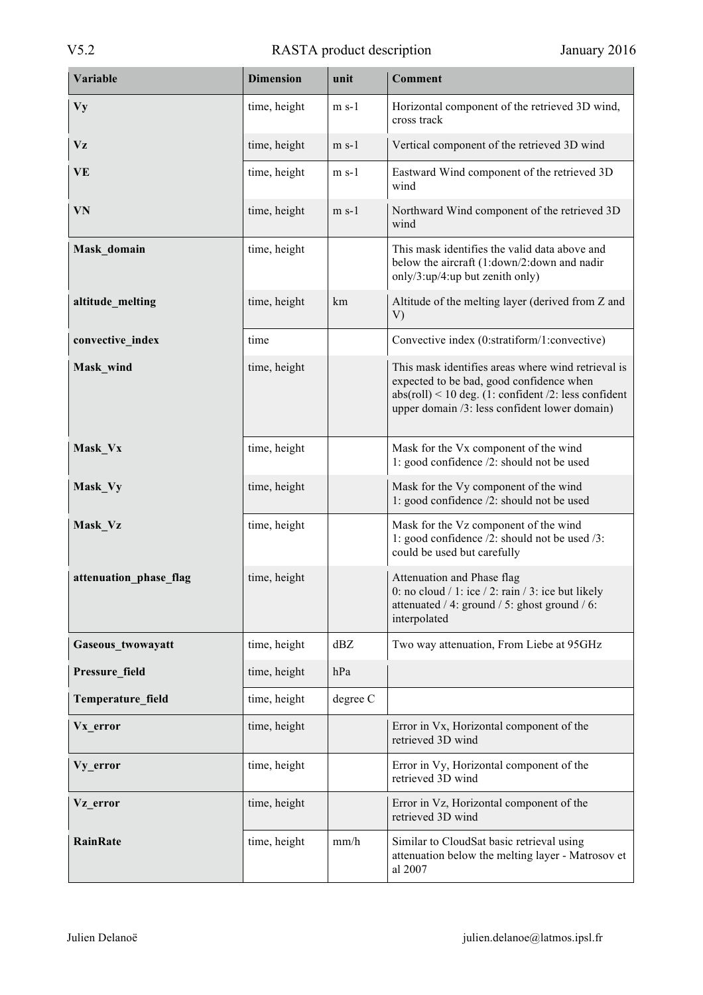| Variable               | <b>Dimension</b> | unit     | <b>Comment</b>                                                                                                                                                                                            |
|------------------------|------------------|----------|-----------------------------------------------------------------------------------------------------------------------------------------------------------------------------------------------------------|
| <b>Vy</b>              | time, height     | $m s-1$  | Horizontal component of the retrieved 3D wind,<br>cross track                                                                                                                                             |
| Vz                     | time, height     | $m s-1$  | Vertical component of the retrieved 3D wind                                                                                                                                                               |
| VE                     | time, height     | $m s-1$  | Eastward Wind component of the retrieved 3D<br>wind                                                                                                                                                       |
| VN                     | time, height     | $m$ s-1  | Northward Wind component of the retrieved 3D<br>wind                                                                                                                                                      |
| Mask_domain            | time, height     |          | This mask identifies the valid data above and<br>below the aircraft (1:down/2:down and nadir<br>only/3:up/4:up but zenith only)                                                                           |
| altitude_melting       | time, height     | km       | Altitude of the melting layer (derived from Z and<br>V)                                                                                                                                                   |
| convective_index       | time             |          | Convective index (0:stratiform/1:convective)                                                                                                                                                              |
| Mask_wind              | time, height     |          | This mask identifies areas where wind retrieval is<br>expected to be bad, good confidence when<br>$abs(roll) < 10$ deg. (1: confident /2: less confident<br>upper domain /3: less confident lower domain) |
| Mask_Vx                | time, height     |          | Mask for the Vx component of the wind<br>1: good confidence /2: should not be used                                                                                                                        |
| Mask_Vy                | time, height     |          | Mask for the Vy component of the wind<br>1: good confidence /2: should not be used                                                                                                                        |
| Mask_Vz                | time, height     |          | Mask for the Vz component of the wind<br>1: good confidence /2: should not be used /3:<br>could be used but carefully                                                                                     |
| attenuation phase flag | time, height     |          | Attenuation and Phase flag<br>0: no cloud $/ 1$ : ice $/ 2$ : rain $/ 3$ : ice but likely<br>attenuated / 4: ground / 5: ghost ground / 6:<br>interpolated                                                |
| Gaseous twowayatt      | time, height     | dBZ      | Two way attenuation, From Liebe at 95GHz                                                                                                                                                                  |
| Pressure_field         | time, height     | hPa      |                                                                                                                                                                                                           |
| Temperature field      | time, height     | degree C |                                                                                                                                                                                                           |
| Vx error               | time, height     |          | Error in Vx, Horizontal component of the<br>retrieved 3D wind                                                                                                                                             |
| Vy error               | time, height     |          | Error in Vy, Horizontal component of the<br>retrieved 3D wind                                                                                                                                             |
| Vz error               | time, height     |          | Error in Vz, Horizontal component of the<br>retrieved 3D wind                                                                                                                                             |
| <b>RainRate</b>        | time, height     | mm/h     | Similar to CloudSat basic retrieval using<br>attenuation below the melting layer - Matrosov et<br>al 2007                                                                                                 |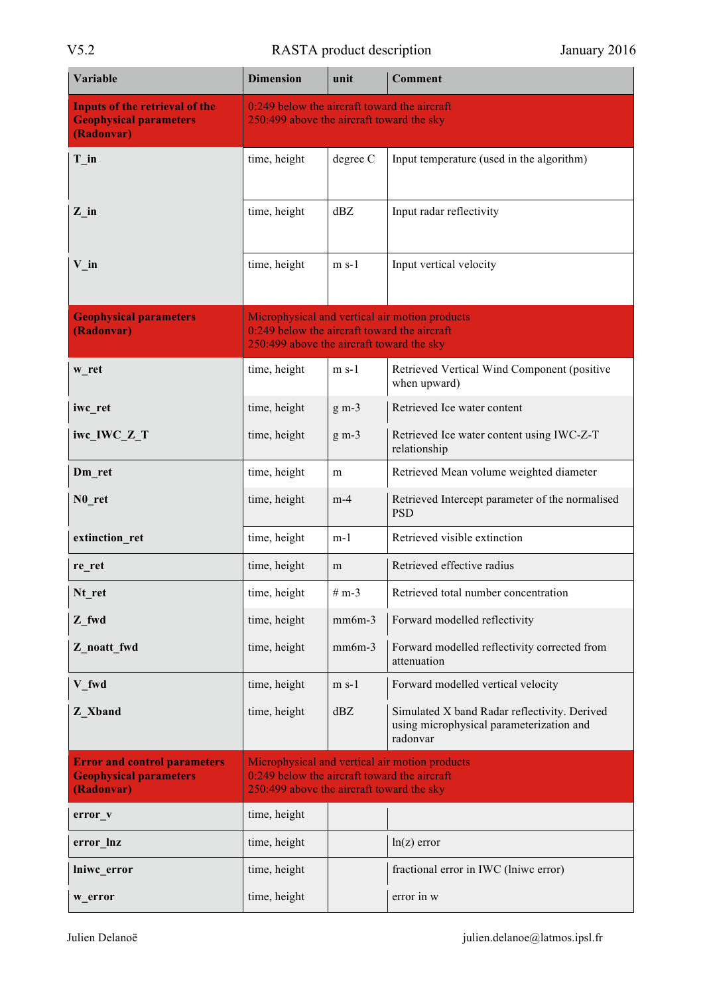# V5.2 RASTA product description January 2016

| Variable                                                                             | <b>Dimension</b>                                                                          | unit     | <b>Comment</b>                                                                                       |
|--------------------------------------------------------------------------------------|-------------------------------------------------------------------------------------------|----------|------------------------------------------------------------------------------------------------------|
| <b>Inputs of the retrieval of the</b><br><b>Geophysical parameters</b><br>(Radonvar) | 0:249 below the aircraft toward the aircraft<br>250:499 above the aircraft toward the sky |          |                                                                                                      |
| $T_in$                                                                               | time, height                                                                              | degree C | Input temperature (used in the algorithm)                                                            |
| $Z$ _in                                                                              | time, height                                                                              | dBZ      | Input radar reflectivity                                                                             |
| $V_{in}$                                                                             | time, height                                                                              | $m s-1$  | Input vertical velocity                                                                              |
| <b>Geophysical parameters</b><br>(Radonvar)                                          | 0:249 below the aircraft toward the aircraft<br>250:499 above the aircraft toward the sky |          | Microphysical and vertical air motion products                                                       |
| w ret                                                                                | time, height                                                                              | $m s-1$  | Retrieved Vertical Wind Component (positive<br>when upward)                                          |
| iwc_ret                                                                              | time, height                                                                              | $g m-3$  | Retrieved Ice water content                                                                          |
| iwc_IWC_Z_T                                                                          | time, height                                                                              | $g m-3$  | Retrieved Ice water content using IWC-Z-T<br>relationship                                            |
| Dm_ret                                                                               | time, height                                                                              | m        | Retrieved Mean volume weighted diameter                                                              |
| N <sub>0</sub> ret                                                                   | time, height                                                                              | $m-4$    | Retrieved Intercept parameter of the normalised<br><b>PSD</b>                                        |
| extinction_ret                                                                       | time, height                                                                              | $m-1$    | Retrieved visible extinction                                                                         |
| re ret                                                                               | time, height                                                                              | m        | Retrieved effective radius                                                                           |
| Nt_ret                                                                               | time, height                                                                              | $# m-3$  | Retrieved total number concentration                                                                 |
| Z fwd                                                                                | time, height                                                                              | $mm6m-3$ | Forward modelled reflectivity                                                                        |
| Z_noatt_fwd                                                                          | time, height                                                                              | $mm6m-3$ | Forward modelled reflectivity corrected from<br>attenuation                                          |
| V fwd                                                                                | time, height                                                                              | $m s-1$  | Forward modelled vertical velocity                                                                   |
| Z Xband                                                                              | time, height                                                                              | dBZ      | Simulated X band Radar reflectivity. Derived<br>using microphysical parameterization and<br>radonvar |
| <b>Error and control parameters</b><br><b>Geophysical parameters</b><br>(Radonvar)   | 0:249 below the aircraft toward the aircraft<br>250:499 above the aircraft toward the sky |          | Microphysical and vertical air motion products                                                       |
| error_v                                                                              | time, height                                                                              |          |                                                                                                      |
| error lnz                                                                            | time, height                                                                              |          | $ln(z)$ error                                                                                        |
| lniwc error                                                                          | time, height                                                                              |          | fractional error in IWC (lniwc error)                                                                |
| w_error                                                                              | time, height                                                                              |          | error in w                                                                                           |